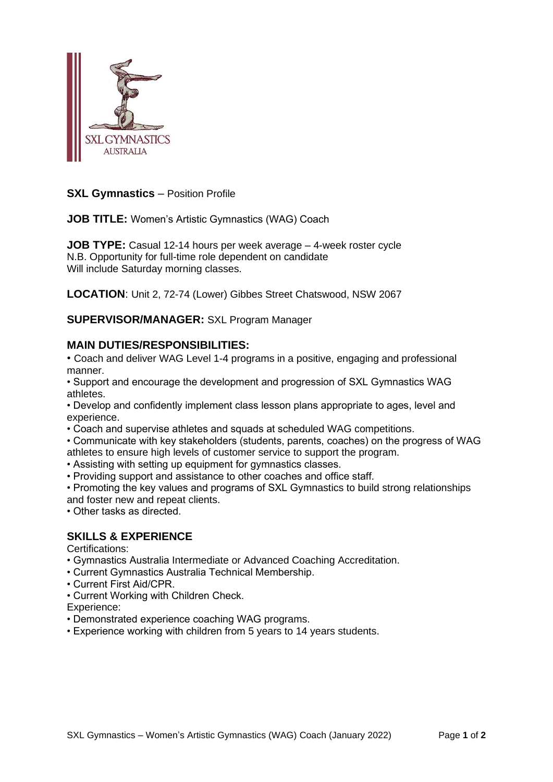

### **SXL Gymnastics** – Position Profile

**JOB TITLE:** Women's Artistic Gymnastics (WAG) Coach

**JOB TYPE:** Casual 12-14 hours per week average – 4-week roster cycle N.B. Opportunity for full-time role dependent on candidate Will include Saturday morning classes.

**LOCATION**: Unit 2, 72-74 (Lower) Gibbes Street Chatswood, NSW 2067

**SUPERVISOR/MANAGER:** SXL Program Manager

#### **MAIN DUTIES/RESPONSIBILITIES:**

• Coach and deliver WAG Level 1-4 programs in a positive, engaging and professional manner.

• Support and encourage the development and progression of SXL Gymnastics WAG athletes.

• Develop and confidently implement class lesson plans appropriate to ages, level and experience.

- Coach and supervise athletes and squads at scheduled WAG competitions.
- Communicate with key stakeholders (students, parents, coaches) on the progress of WAG athletes to ensure high levels of customer service to support the program.
- Assisting with setting up equipment for gymnastics classes.
- Providing support and assistance to other coaches and office staff.
- Promoting the key values and programs of SXL Gymnastics to build strong relationships and foster new and repeat clients.

• Other tasks as directed.

### **SKILLS & EXPERIENCE**

Certifications:

- Gymnastics Australia Intermediate or Advanced Coaching Accreditation.
- Current Gymnastics Australia Technical Membership.
- Current First Aid/CPR.
- Current Working with Children Check.

Experience:

• Demonstrated experience coaching WAG programs.

• Experience working with children from 5 years to 14 years students.